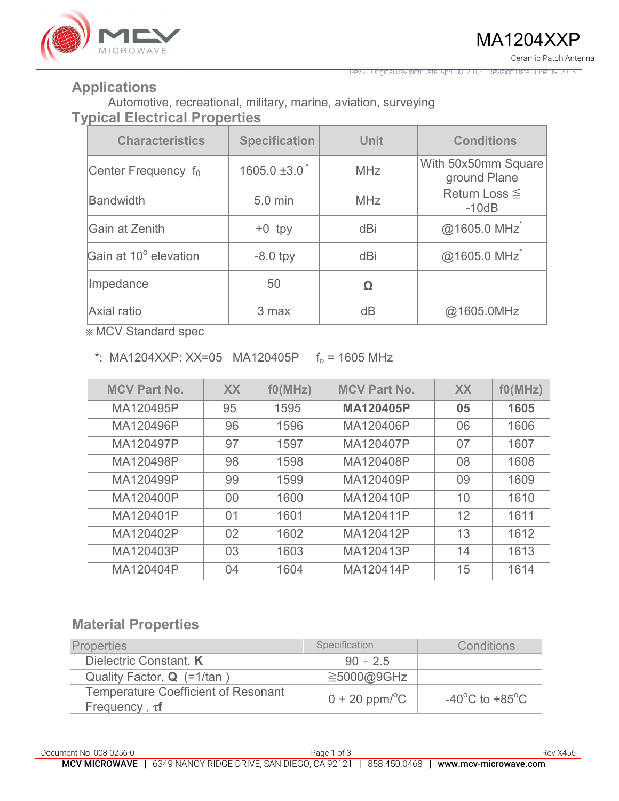

Rev 2–Original Revision Date: April 30, 2013 –Revision Date: June 09, 2015

#### **Applications**

Automotive, recreational, military, marine, aviation, surveying **Typical Electrical Properties** 

| <b>Characteristics</b>          | <b>Specification</b> | <b>Unit</b> | <b>Conditions</b>                   |
|---------------------------------|----------------------|-------------|-------------------------------------|
| Center Frequency f <sub>0</sub> | $1605.0 \pm 3.0$     | <b>MHz</b>  | With 50x50mm Square<br>ground Plane |
| <b>Bandwidth</b>                | 5.0 min              | <b>MHz</b>  | Return Loss $\leq$<br>$-10dB$       |
| Gain at Zenith                  | $+0$ tpy             | dBi         | @1605.0 MHz                         |
| Gain at 10° elevation           | $-8.0$ tpy           | dBi         | @1605.0 MHz                         |
| Impedance                       | 50                   | Ω           |                                     |
| <b>Axial ratio</b>              | 3 max                | dB          | @1605.0MHz                          |

※ MCV Standard spec

\*: MA1204XXP: XX=05 MA120405P  $f_0 = 1605$  MHz

| <b>MCV Part No.</b> | <b>XX</b> | f0(MHz) | <b>MCV Part No.</b> | <b>XX</b> | f0(MHz) |
|---------------------|-----------|---------|---------------------|-----------|---------|
| MA120495P           | 95        | 1595    | <b>MA120405P</b>    | 05        | 1605    |
| MA120496P           | 96        | 1596    | MA120406P           | 06        | 1606    |
| MA120497P           | 97        | 1597    | MA120407P           | 07        | 1607    |
| MA120498P           | 98        | 1598    | MA120408P           | 08        | 1608    |
| MA120499P           | 99        | 1599    | MA120409P           | 09        | 1609    |
| MA120400P           | 00        | 1600    | MA120410P           | 10        | 1610    |
| MA120401P           | 01        | 1601    | MA120411P           | 12        | 1611    |
| MA120402P           | 02        | 1602    | MA120412P           | 13        | 1612    |
| MA120403P           | 03        | 1603    | MA120413P           | 14        | 1613    |
| MA120404P           | 04        | 1604    | MA120414P           | 15        | 1614    |

### **Material Properties**

| <b>Properties</b>                                                 | Specification                  | Conditions                                           |  |  |
|-------------------------------------------------------------------|--------------------------------|------------------------------------------------------|--|--|
| Dielectric Constant, K                                            | $90 \pm 2.5$                   |                                                      |  |  |
| Quality Factor, $Q$ (=1/tan)                                      | $\geq$ 5000@9GHz               |                                                      |  |  |
| <b>Temperature Coefficient of Resonant</b><br>Frequency, $\tau f$ | $0 \pm 20$ ppm/ <sup>o</sup> C | -40 $\mathrm{^{\circ}C}$ to +85 $\mathrm{^{\circ}C}$ |  |  |

Document No. 008-0256-0 **Page 1 of 3** Rev X456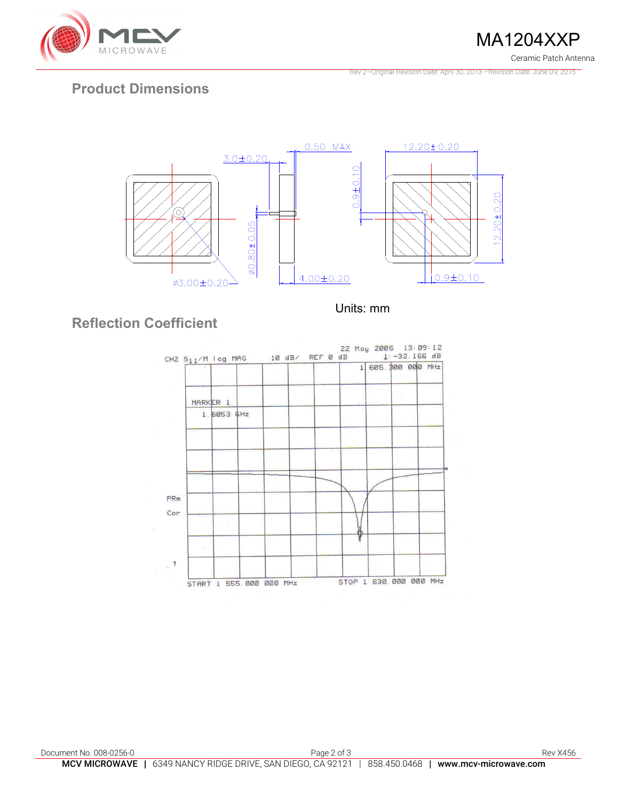

MA1204XXP Ceramic Patch Antenna

Rev 2–Original Revision Date: April 30, 2013 –Revision Date: June 09, 2015

# **Product Dimensions**



Units: mm

# **Reflection Coefficient**

| CH2 $S_{11}/M$ log MAG 10 dB/ REF 0 dB |  |  | 1 605. \$00 000 MHz |  |
|----------------------------------------|--|--|---------------------|--|
| MARKER 1                               |  |  |                     |  |
| 1.6053 \$Hz                            |  |  |                     |  |
|                                        |  |  |                     |  |
|                                        |  |  |                     |  |
|                                        |  |  |                     |  |
|                                        |  |  |                     |  |
|                                        |  |  |                     |  |
| $\mathcal{F}^{\pm}_{\mathcal{F}}$      |  |  |                     |  |
|                                        |  |  |                     |  |